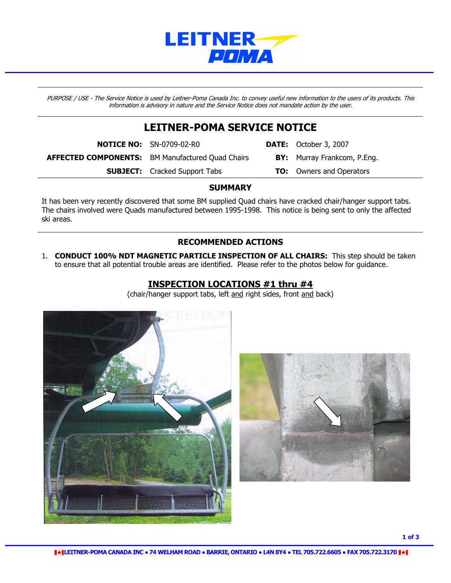

PURPOSE / USE - The Service Notice is used by Leitner-Poma Canada Inc. to convey useful new information to the users of its products. This information is advisory in nature and the Service Notice does not mandate action by the user.

# LEITNER-POMA SERVICE NOTICE

**NOTICE NO:** SN-0709-02-R0 **DATE:** October 3, 2007

**SUBJECT:** Cracked Support Tabs TO: Owners and Operators

AFFECTED COMPONENTS: BM Manufactured Quad Chairs BY: Murray Frankcom, P.Eng.

**SUMMARY** 

It has been very recently discovered that some BM supplied Quad chairs have cracked chair/hanger support tabs. The chairs involved were Quads manufactured between 1995-1998. This notice is being sent to only the affected ski areas.

#### RECOMMENDED ACTIONS

1. CONDUCT 100% NDT MAGNETIC PARTICLE INSPECTION OF ALL CHAIRS: This step should be taken to ensure that all potential trouble areas are identified. Please refer to the photos below for guidance.

### INSPECTION LOCATIONS #1 thru #4

(chair/hanger support tabs, left and right sides, front and back)



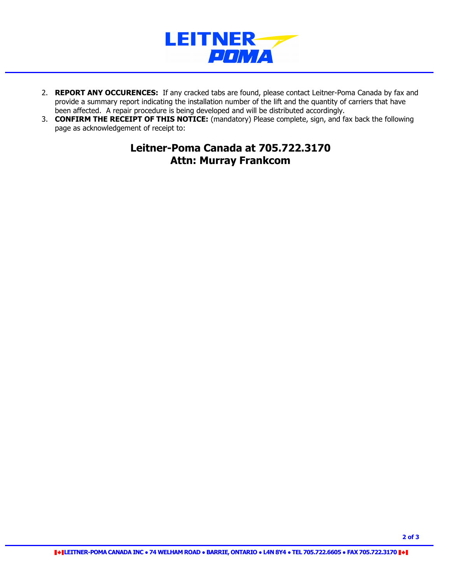

- 2. REPORT ANY OCCURENCES: If any cracked tabs are found, please contact Leitner-Poma Canada by fax and provide a summary report indicating the installation number of the lift and the quantity of carriers that have been affected. A repair procedure is being developed and will be distributed accordingly.
- 3. **CONFIRM THE RECEIPT OF THIS NOTICE:** (mandatory) Please complete, sign, and fax back the following page as acknowledgement of receipt to:

## Leitner-Poma Canada at 705.722.3170 Attn: Murray Frankcom